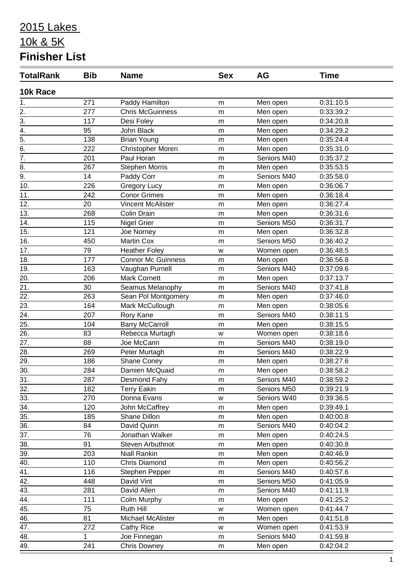| <b>TotalRank</b>  | <b>Bib</b> | <b>Name</b>               | <b>Sex</b> | <b>AG</b>   | <b>Time</b> |  |
|-------------------|------------|---------------------------|------------|-------------|-------------|--|
| 10k Race          |            |                           |            |             |             |  |
| 1.                | 271        | Paddy Hamilton            | m          | Men open    | 0:31:10.5   |  |
| $\overline{2}$ .  | 277        | <b>Chris McGuinness</b>   | m          | Men open    | 0:33:39.2   |  |
| $\overline{3}$ .  | 117        | Desi Foley                | m          | Men open    | 0:34:20.8   |  |
| $\overline{4}$ .  | 95         | John Black                | m          | Men open    | 0:34:29.2   |  |
| $\overline{5}$ .  | 138        | <b>Brian Young</b>        | m          | Men open    | 0:35:24.4   |  |
| $\overline{6}$ .  | 222        | Christopher Moren         | m          | Men open    | 0:35:31.0   |  |
| $\overline{7}$ .  | 201        | Paul Horan                | m          | Seniors M40 | 0:35:37.2   |  |
| 8.                | 267        | <b>Stephen Morris</b>     | m          | Men open    | 0:35:53.5   |  |
| $\overline{9}$ .  | 14         | Paddy Corr                | m          | Seniors M40 | 0:35:58.0   |  |
| 10.               | 226        | <b>Gregory Lucy</b>       | m          | Men open    | 0:36:06.7   |  |
| 11.               | 242        | <b>Conor Grimes</b>       | m          | Men open    | 0:36:18.4   |  |
| 12.               | 20         | <b>Vincent McAlister</b>  | m          | Men open    | 0:36:27.4   |  |
| 13.               | 268        | Colin Drain               | m          | Men open    | 0:36:31.6   |  |
| 14.               | 115        | Nigel Grier               | m          | Seniors M50 | 0:36:31.7   |  |
| 15.               | 121        | Joe Norney                | m          | Men open    | 0:36:32.8   |  |
| 16.               | 450        | <b>Martin Cox</b>         | m          | Seniors M50 | 0:36:40.2   |  |
| 17.               | 79         | <b>Heather Foley</b>      | W          | Women open  | 0:36:48.5   |  |
| 18.               | 177        | <b>Connor Mc Guinness</b> | m          | Men open    | 0:36:56.8   |  |
| $\overline{19.}$  | 163        | Vaughan Purnell           | m          | Seniors M40 | 0:37:09.6   |  |
| 20.               | 206        | <b>Mark Cornett</b>       | m          | Men open    | 0:37:13.7   |  |
| 21.               | 30         | Seamus Melanophy          | m          | Seniors M40 | 0:37:41.8   |  |
| 22.               | 263        | Sean Pol Montgomery       | m          | Men open    | 0:37:46.0   |  |
| 23.               | 164        | Mark McCullough           | m          | Men open    | 0:38:05.6   |  |
| $\overline{24}$ . | 207        | Rory Kane                 | m          | Seniors M40 | 0:38:11.5   |  |
| 25.               | 104        | <b>Barry McCarroll</b>    | m          | Men open    | 0:38:15.5   |  |
| 26.               | 83         | Rebecca Murtagh           | W          | Women open  | 0:38:18.6   |  |
| $\overline{27}$ . | 88         | Joe McCann                | m          | Seniors M40 | 0:38:19.0   |  |
| $\overline{28}$ . | 269        | Peter Murtagh             | m          | Seniors M40 | 0:38:22.9   |  |
| 29.               | 186        | Shane Coney               | m          | Men open    | 0:38:27.6   |  |
| 30.               | 284        | Damien McQuaid            | m          | Men open    | 0:38:58.2   |  |
| 31.               | 287        | Desmond Fahy              | m          | Seniors M40 | 0:38:59.2   |  |
| 32.               | 182        | <b>Terry Eakin</b>        | m          | Seniors M50 | 0:39:21.9   |  |
| 33.               | 270        | Donna Evans               | W          | Seniors W40 | 0:39:36.5   |  |
| 34.               | 120        | John McCaffrey            | m          | Men open    | 0:39:49.1   |  |
| 35.               | 185        | Shane Dillon              | m          | Men open    | 0:40:00.8   |  |
| 36.               | 84         | David Quinn               | ${\sf m}$  | Seniors M40 | 0:40:04.2   |  |
| 37.               | 76         | Jonathan Walker           | m          | Men open    | 0:40:24.5   |  |
| 38.               | 91         | Steven Arbuthnot          | m          | Men open    | 0:40:30.8   |  |
| 39.               | 203        | <b>Niall Rankin</b>       | m          | Men open    | 0:40:46.9   |  |
| 40.               | 110        | Chris Diamond             | m          | Men open    | 0:40:56.2   |  |
| 41.               | 116        | Stephen Pepper            | m          | Seniors M40 | 0:40:57.6   |  |
| 42.               | 448        | David Vint                | m          | Seniors M50 | 0:41:05.9   |  |
| 43.               | 281        | David Allen               | m          | Seniors M40 | 0:41:11.9   |  |
| 44.               | 111        | Colm Murphy               | ${\sf m}$  | Men open    | 0:41:25.2   |  |
| 45.               | 75         | Ruth Hill                 | W          | Women open  | 0:41:44.7   |  |
| 46.               | 81         | Michael McAlister         | m          | Men open    | 0:41:51.8   |  |
| 47.               | 272        | <b>Cathy Rice</b>         | w          | Women open  | 0:41:53.9   |  |
| 48.               | 1          | Joe Finnegan              | m          | Seniors M40 | 0:41:59.8   |  |
| 49.               | 241        | <b>Chris Downey</b>       | m          | Men open    | 0:42:04.2   |  |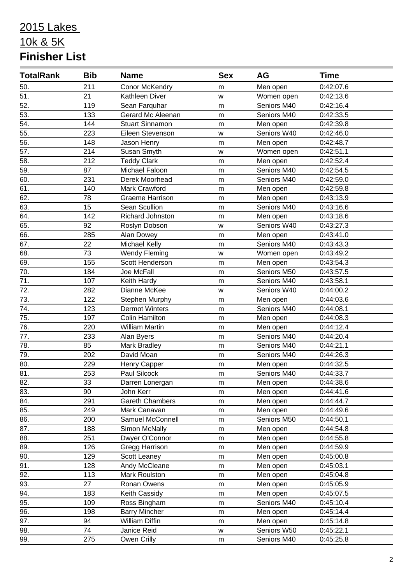| <b>TotalRank</b>  | <b>Bib</b> | <b>Name</b>            | <b>Sex</b> | AG          | <b>Time</b> |
|-------------------|------------|------------------------|------------|-------------|-------------|
| 50.               | 211        | Conor McKendry         | m          | Men open    | 0:42:07.6   |
| $\overline{51}$   | 21         | Kathleen Diver         | W          | Women open  | 0:42:13.6   |
| $\overline{52}$ . | 119        | Sean Farquhar          | m          | Seniors M40 | 0:42:16.4   |
| $\overline{53}$ . | 133        | Gerard Mc Aleenan      | m          | Seniors M40 | 0:42:33.5   |
| $\overline{54}$ . | 144        | Stuart Sinnamon        | m          | Men open    | 0:42:39.8   |
| 55.               | 223        | Eileen Stevenson       | W          | Seniors W40 | 0:42:46.0   |
| $\overline{56}$ . | 148        | Jason Henry            | m          | Men open    | 0:42:48.7   |
| $\overline{57}$ . | 214        | Susan Smyth            | W          | Women open  | 0:42:51.1   |
| $\overline{58}$ . | 212        | <b>Teddy Clark</b>     | m          | Men open    | 0:42:52.4   |
| 59.               | 87         | Michael Faloon         | m          | Seniors M40 | 0:42:54.5   |
| 60.               | 231        | Derek Moorhead         | m          | Seniors M40 | 0:42:59.0   |
| 61.               | 140        | Mark Crawford          | m          | Men open    | 0:42:59.8   |
| 62.               | 78         | Graeme Harrison        | m          | Men open    | 0:43:13.9   |
| 63.               | 15         | Sean Scullion          | m          | Seniors M40 | 0:43:16.6   |
| 64.               | 142        | Richard Johnston       | m          | Men open    | 0:43:18.6   |
| 65.               | 92         | Roslyn Dobson          | w          | Seniors W40 | 0:43:27.3   |
| 66.               | 285        | Alan Dowey             | m          | Men open    | 0:43:41.0   |
| 67.               | 22         | <b>Michael Kelly</b>   | m          | Seniors M40 | 0:43:43.3   |
| 68.               | 73         | <b>Wendy Fleming</b>   | W          | Women open  | 0:43:49.2   |
| 69.               | 155        | Scott Henderson        | m          | Men open    | 0:43:54.3   |
| 70.               | 184        | Joe McFall             | m          | Seniors M50 | 0:43:57.5   |
| 71.               | 107        | Keith Hardy            | m          | Seniors M40 | 0:43:58.1   |
| 72.               | 282        | Dianne McKee           | W          | Seniors W40 | 0:44:00.2   |
| 73.               | 122        | Stephen Murphy         | m          | Men open    | 0:44:03.6   |
| 74.               | 123        | <b>Dermot Winters</b>  | m          | Seniors M40 | 0:44:08.1   |
| 75.               | 197        | <b>Colin Hamilton</b>  | m          | Men open    | 0:44:08.3   |
| $\overline{76}$ . | 220        | <b>William Martin</b>  | m          | Men open    | 0:44:12.4   |
| 77.               | 233        | Alan Byers             | m          | Seniors M40 | 0:44:20.4   |
| 78.               | 85         | Mark Bradley           | m          | Seniors M40 | 0:44:21.1   |
| 79.               | 202        | David Moan             | m          | Seniors M40 | 0:44:26.3   |
| 80.               | 229        | Henry Capper           | m          | Men open    | 0:44:32.5   |
| $\overline{81}$   | 253        | Paul Silcock           | m          | Seniors M40 | 0:44:33.7   |
| 82.               | 33         | Darren Lonergan        | m          | Men open    | 0:44:38.6   |
| 83.               | 90         | John Kerr              | m          | Men open    | 0:44:41.6   |
| 84.               | 291        | <b>Gareth Chambers</b> | m          | Men open    | 0:44:44.7   |
| 85.               | 249        | Mark Canavan           | m          | Men open    | 0:44:49.6   |
| 86.               | 200        | Samuel McConnell       | ${\sf m}$  | Seniors M50 | 0:44:50.1   |
| 87.               | 188        | Simon McNally          | m          | Men open    | 0:44:54.8   |
| 88.               | 251        | Dwyer O'Connor         | m          | Men open    | 0:44:55.8   |
| 89.               | 126        | Gregg Harrison         | m          | Men open    | 0:44:59.9   |
| 90.               | 129        | Scott Leaney           | m          | Men open    | 0:45:00.8   |
| 91.               | 128        | Andy McCleane          | m          | Men open    | 0:45:03.1   |
| 92.               | 113        | Mark Roulston          | m          | Men open    | 0:45:04.8   |
| 93.               | 27         | Ronan Owens            | m          | Men open    | 0:45:05.9   |
| 94.               | 183        | Keith Cassidy          | m          | Men open    | 0:45:07.5   |
| 95.               | 109        | Ross Bingham           | m          | Seniors M40 | 0:45:10.4   |
| 96.               | 198        | <b>Barry Mincher</b>   | m          | Men open    | 0:45:14.4   |
| 97.               | 94         | William Diffin         | m          | Men open    | 0:45:14.8   |
| 98.               | 74         | Janice Reid            | W          | Seniors W50 | 0:45:22.1   |
| 99.               | 275        | Owen Crilly            | m          | Seniors M40 | 0:45:25.8   |
|                   |            |                        |            |             |             |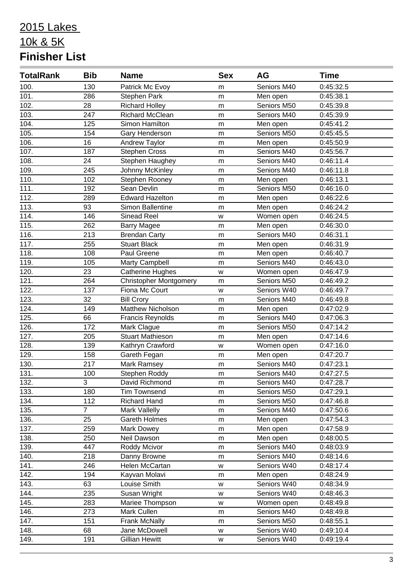| <b>TotalRank</b>   | <b>Bib</b>     | <b>Name</b>                   | <b>Sex</b> | AG          | <b>Time</b> |
|--------------------|----------------|-------------------------------|------------|-------------|-------------|
| 100.               | 130            | Patrick Mc Evoy               | m          | Seniors M40 | 0:45:32.5   |
| 101.               | 286            | Stephen Park                  | m          | Men open    | 0:45:38.1   |
| 102.               | 28             | <b>Richard Holley</b>         | m          | Seniors M50 | 0:45:39.8   |
| 103.               | 247            | <b>Richard McClean</b>        | m          | Seniors M40 | 0:45:39.9   |
| 104.               | 125            | Simon Hamilton                | m          | Men open    | 0:45:41.2   |
| 105.               | 154            | Gary Henderson                | m          | Seniors M50 | 0:45:45.5   |
| 106.               | 16             | Andrew Taylor                 | m          | Men open    | 0:45:50.9   |
| 107.               | 187            | <b>Stephen Cross</b>          | m          | Seniors M40 | 0:45:56.7   |
| 108.               | 24             | Stephen Haughey               | m          | Seniors M40 | 0:46:11.4   |
| 109.               | 245            | Johnny McKinley               | m          | Seniors M40 | 0:46:11.8   |
| 110.               | 102            | Stephen Rooney                | m          | Men open    | 0:46:13.1   |
| 111.               | 192            | Sean Devlin                   | m          | Seniors M50 | 0:46:16.0   |
| 112.               | 289            | <b>Edward Hazelton</b>        | m          | Men open    | 0:46:22.6   |
| 113.               | 93             | Simon Ballentine              | m          | Men open    | 0:46:24.2   |
| 114.               | 146            | <b>Sinead Reel</b>            | W          | Women open  | 0:46:24.5   |
| 115.               | 262            | <b>Barry Magee</b>            | m          | Men open    | 0:46:30.0   |
| 116.               | 213            | <b>Brendan Carty</b>          | m          | Seniors M40 | 0:46:31.1   |
| $\overline{117}$ . | 255            | <b>Stuart Black</b>           | m          | Men open    | 0:46:31.9   |
| 118.               | 108            | Paul Greene                   | m          | Men open    | 0:46:40.7   |
| 119.               | 105            | Marty Campbell                | m          | Seniors M40 | 0:46:43.0   |
| 120.               | 23             | <b>Catherine Hughes</b>       | W          | Women open  | 0:46:47.9   |
| 121.               | 264            | <b>Christopher Montgomery</b> | m          | Seniors M50 | 0:46:49.2   |
| 122.               | 137            | Fiona Mc Court                | w          | Seniors W40 | 0:46:49.7   |
| 123.               | 32             | <b>Bill Crory</b>             | m          | Seniors M40 | 0:46:49.8   |
| 124.               | 149            | Matthew Nicholson             | m          | Men open    | 0:47:02.9   |
| $\overline{125}$ . | 66             | <b>Francis Reynolds</b>       | m          | Seniors M40 | 0:47:06.3   |
| 126.               | 172            | Mark Clague                   | m          | Seniors M50 | 0:47:14.2   |
| 127.               | 205            | Stuart Mathieson              | m          | Men open    | 0:47:14.6   |
| 128.               | 139            | Kathryn Crawford              | W          | Women open  | 0:47:16.0   |
| 129.               | 158            | Gareth Fegan                  | m          | Men open    | 0:47:20.7   |
| 130.               | 217            | Mark Ramsey                   | m          | Seniors M40 | 0:47:23.1   |
| 131.               | 100            | Stephen Roddy                 | m          | Seniors M40 | 0:47:27.5   |
| 132.               | 3              | David Richmond                | m          | Seniors M40 | 0:47:28.7   |
| 133.               | 180            | <b>Tim Townsend</b>           | m          | Seniors M50 | 0:47:29.1   |
| 134.               | 112            | <b>Richard Hand</b>           | ${\sf m}$  | Seniors M50 | 0:47:46.8   |
| 135.               | $\overline{7}$ | Mark Vallelly                 | m          | Seniors M40 | 0:47:50.6   |
| 136.               | 25             | Gareth Holmes                 | m          | Men open    | 0:47:54.3   |
| 137.               | 259            | Mark Dowey                    | m          | Men open    | 0:47:58.9   |
| 138.               | 250            | Neil Dawson                   | m          | Men open    | 0:48:00.5   |
| 139.               | 447            | Roddy Mcivor                  | m          | Seniors M40 | 0:48:03.9   |
| 140.               | 218            | Danny Browne                  | m          | Seniors M40 | 0:48:14.6   |
| 141.               | 246            | Helen McCartan                | W          | Seniors W40 | 0:48:17.4   |
| 142.               | 194            | Kayvan Molavi                 | m          | Men open    | 0:48:24.9   |
| 143.               | 63             | Louise Smith                  | w          | Seniors W40 | 0:48:34.9   |
| 144.               | 235            | Susan Wright                  | W          | Seniors W40 | 0:48:46.3   |
| 145.               | 283            | Mariee Thompson               | W          | Women open  | 0:48:49.8   |
| 146.               | 273            | Mark Cullen                   | m          | Seniors M40 | 0:48:49.8   |
| 147.               | 151            | <b>Frank McNally</b>          | m          | Seniors M50 | 0:48:55.1   |
| 148.               | 68             | Jane McDowell                 | W          | Seniors W40 | 0:49:10.4   |
| 149.               | 191            | <b>Gillian Hewitt</b>         | W          | Seniors W40 | 0:49:19.4   |
|                    |                |                               |            |             |             |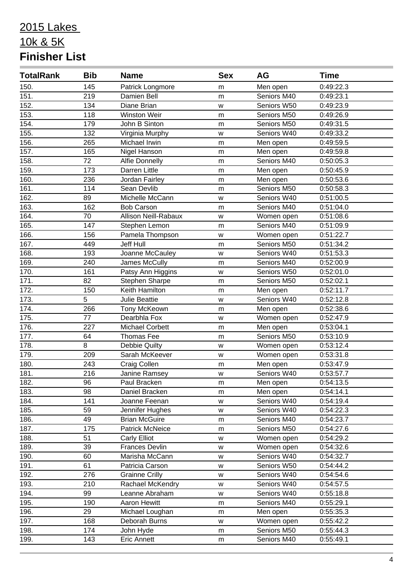| <b>TotalRank</b> | <b>Bib</b> | <b>Name</b>                 | <b>Sex</b> | AG          | <b>Time</b> |
|------------------|------------|-----------------------------|------------|-------------|-------------|
| 150.             | 145        | Patrick Longmore            | m          | Men open    | 0:49:22.3   |
| 151.             | 219        | Damien Bell                 | m          | Seniors M40 | 0:49:23.1   |
| 152.             | 134        | Diane Brian                 | W          | Seniors W50 | 0:49:23.9   |
| 153.             | 118        | Winston Weir                | m          | Seniors M50 | 0:49:26.9   |
| 154.             | 179        | John B Sinton               | m          | Seniors M50 | 0:49:31.5   |
| 155.             | 132        | Virginia Murphy             | W          | Seniors W40 | 0:49:33.2   |
| 156.             | 265        | Michael Irwin               | m          | Men open    | 0:49:59.5   |
| 157.             | 165        | Nigel Hanson                | m          | Men open    | 0:49:59.8   |
| 158.             | 72         | <b>Alfie Donnelly</b>       | m          | Seniors M40 | 0:50:05.3   |
| 159.             | 173        | Darren Little               | m          | Men open    | 0:50:45.9   |
| 160.             | 236        | Jordan Fairley              | m          | Men open    | 0:50:53.6   |
| 161.             | 114        | Sean Devlib                 | m          | Seniors M50 | 0:50:58.3   |
| 162.             | 89         | Michelle McCann             | W          | Seniors W40 | 0:51:00.5   |
| 163.             | 162        | <b>Bob Carson</b>           | m          | Seniors M40 | 0:51:04.0   |
| 164.             | 70         | <b>Allison Neill-Rabaux</b> | W          | Women open  | 0:51:08.6   |
| 165.             | 147        | Stephen Lemon               | m          | Seniors M40 | 0:51:09.9   |
| 166.             | 156        | Pamela Thompson             | W          | Women open  | 0:51:22.7   |
| 167.             | 449        | Jeff Hull                   | m          | Seniors M50 | 0:51:34.2   |
| 168.             | 193        | Joanne McCauley             | W          | Seniors W40 | 0:51:53.3   |
| 169.             | 240        | James McCully               | m          | Seniors M40 | 0:52:00.9   |
| 170.             | 161        | Patsy Ann Higgins           | W          | Seniors W50 | 0:52:01.0   |
| 171.             | 82         | Stephen Sharpe              | m          | Seniors M50 | 0:52:02.1   |
| 172.             | 150        | Keith Hamilton              | m          | Men open    | 0:52:11.7   |
| 173.             | 5          | Julie Beattie               | W          | Seniors W40 | 0:52:12.8   |
| 174.             | 266        | Tony McKeown                | m          | Men open    | 0:52:38.6   |
| 175.             | 77         | Dearbhla Fox                | W          | Women open  | 0:52:47.9   |
| 176.             | 227        | <b>Michael Corbett</b>      | m          | Men open    | 0:53:04.1   |
| 177.             | 64         | <b>Thomas Fee</b>           | m          | Seniors M50 | 0:53:10.9   |
| 178.             | 8          | Debbie Quilty               | W          | Women open  | 0:53:12.4   |
| 179.             | 209        | Sarah McKeever              | w          | Women open  | 0:53:31.8   |
| 180.             | 243        | Craig Collen                | m          | Men open    | 0:53:47.9   |
| 181.             | 216        | Janine Ramsey               | W          | Seniors W40 | 0:53:57.7   |
| 182.             | 96         | Paul Bracken                | m          | Men open    | 0:54:13.5   |
| 183.             | 98         | Daniel Bracken              | m          | Men open    | 0:54:14.1   |
| 184.             | 141        | Joanne Feenan               | W          | Seniors W40 | 0:54:19.4   |
| 185.             | 59         | Jennifer Hughes             | W          | Seniors W40 | 0:54:22.3   |
| 186.             | 49         | <b>Brian McGuire</b>        | m          | Seniors M40 | 0:54:23.7   |
| 187.             | 175        | <b>Patrick McNeice</b>      | m          | Seniors M50 | 0:54:27.6   |
| 188.             | 51         | <b>Carly Elliot</b>         | w          | Women open  | 0:54:29.2   |
| 189.             | 39         | <b>Frances Devlin</b>       | W          | Women open  | 0:54:32.6   |
| 190.             | 60         | Marisha McCann              | W          | Seniors W40 | 0:54:32.7   |
| 191.             | 61         | Patricia Carson             | W          | Seniors W50 | 0:54:44.2   |
| 192.             | 276        | <b>Grainne Crilly</b>       | W          | Seniors W40 | 0:54:54.6   |
| 193.             | 210        | Rachael McKendry            | W          | Seniors W40 | 0:54:57.5   |
| 194.             | 99         | Leanne Abraham              | W          | Seniors W40 | 0:55:18.8   |
| 195.             | 190        | Aaron Hewitt                | m          | Seniors M40 | 0:55:29.1   |
| 196.             | 29         | Michael Loughan             | m          | Men open    | 0:55:35.3   |
| 197.             | 168        | Deborah Burns               | w          | Women open  | 0:55:42.2   |
| 198.             | 174        | John Hyde                   | m          | Seniors M50 | 0:55:44.3   |
| 199.             | 143        | <b>Eric Annett</b>          | m          | Seniors M40 | 0:55:49.1   |
|                  |            |                             |            |             |             |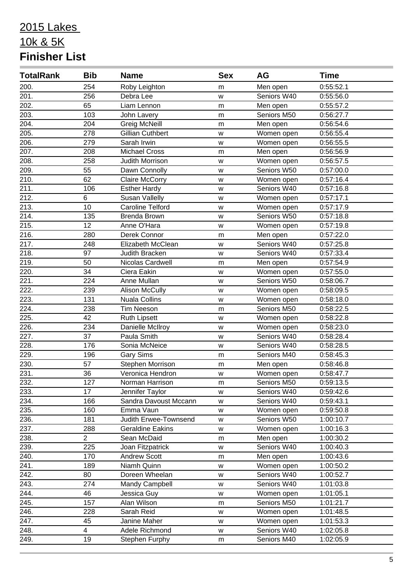| <b>TotalRank</b>   | <b>Bib</b>               | <b>Name</b>             | <b>Sex</b> | AG          | <b>Time</b> |
|--------------------|--------------------------|-------------------------|------------|-------------|-------------|
| 200.               | 254                      | Roby Leighton           | m          | Men open    | 0:55:52.1   |
| 201.               | 256                      | Debra Lee               | W          | Seniors W40 | 0:55:56.0   |
| 202.               | 65                       | Liam Lennon             | m          | Men open    | 0:55:57.2   |
| 203.               | 103                      | John Lavery             | m          | Seniors M50 | 0:56:27.7   |
| 204.               | 204                      | <b>Greig McNeill</b>    | m          | Men open    | 0:56:54.6   |
| 205.               | 278                      | <b>Gillian Cuthbert</b> | W          | Women open  | 0:56:55.4   |
| 206.               | 279                      | Sarah Irwin             | W          | Women open  | 0:56:55.5   |
| 207.               | 208                      | <b>Michael Cross</b>    | m          | Men open    | 0:56:56.9   |
| 208.               | 258                      | Judith Morrison         | W          | Women open  | 0:56:57.5   |
| 209.               | 55                       | Dawn Connolly           | W          | Seniors W50 | 0:57:00.0   |
| 210.               | 62                       | <b>Claire McCorry</b>   | W          | Women open  | 0:57:16.4   |
| 211.               | 106                      | <b>Esther Hardy</b>     | W          | Seniors W40 | 0:57:16.8   |
| $\overline{212}$ . | 6                        | <b>Susan Vallelly</b>   | W          | Women open  | 0:57:17.1   |
| 213.               | 10                       | <b>Caroline Telford</b> | w          | Women open  | 0:57:17.9   |
| 214.               | 135                      | Brenda Brown            | W          | Seniors W50 | 0:57:18.8   |
| 215.               | 12                       | Anne O'Hara             | W          | Women open  | 0:57:19.8   |
| 216.               | 280                      | Derek Connor            | m          | Men open    | 0:57:22.0   |
| 217.               | 248                      | Elizabeth McClean       | W          | Seniors W40 | 0:57:25.8   |
| 218.               | 97                       | Judith Bracken          | W          | Seniors W40 | 0:57:33.4   |
| 219.               | 50                       | Nicolas Cardwell        | m          | Men open    | 0:57:54.9   |
| 220.               | 34                       | Ciera Eakin             | W          | Women open  | 0:57:55.0   |
| 221.               | 224                      | Anne Mullan             | W          | Seniors W50 | 0:58:06.7   |
| 222.               | 239                      | <b>Alison McCully</b>   | W          | Women open  | 0:58:09.5   |
| 223.               | 131                      | <b>Nuala Collins</b>    | W          | Women open  | 0:58:18.0   |
| 224.               | 238                      | <b>Tim Neeson</b>       | m          | Seniors M50 | 0:58:22.5   |
| 225.               | 42                       | <b>Ruth Lipsett</b>     | W          | Women open  | 0:58:22.8   |
| 226.               | 234                      | Danielle McIlroy        | W          | Women open  | 0:58:23.0   |
| 227.               | 37                       | Paula Smith             | W          | Seniors W40 | 0:58:28.4   |
| 228.               | 176                      | Sonia McNeice           | W          | Seniors W40 | 0:58:28.5   |
| 229.               | 196                      | <b>Gary Sims</b>        | m          | Seniors M40 | 0:58:45.3   |
| 230.               | 57                       | Stephen Morrison        | m          | Men open    | 0:58:46.8   |
| 231.               | 36                       | Veronica Hendron        | W          | Women open  | 0:58:47.7   |
| 232.               | 127                      | Norman Harrison         | m          | Seniors M50 | 0:59:13.5   |
| 233.               | 17                       | Jennifer Taylor         | W          | Seniors W40 | 0:59:42.6   |
| 234.               | 166                      | Sandra Davoust Mccann   | W          | Seniors W40 | 0:59:43.1   |
| 235.               | 160                      | Emma Vaun               | W          | Women open  | 0:59:50.8   |
| 236.               | 181                      | Judith Erwee-Townsend   | W          | Seniors W50 | 1:00:10.7   |
| 237.               | 288                      | <b>Geraldine Eakins</b> | W          | Women open  | 1:00:16.3   |
| 238.               | $\overline{2}$           | Sean McDaid             | m          | Men open    | 1:00:30.2   |
| 239.               | 225                      | Joan Fitzpatrick        | W          | Seniors W40 | 1:00:40.3   |
| 240.               | 170                      | <b>Andrew Scott</b>     | m          | Men open    | 1:00:43.6   |
| 241.               | 189                      | Niamh Quinn             | W          | Women open  | 1:00:50.2   |
| 242.               | 80                       | Doreen Wheelan          | W          | Seniors W40 | 1:00:52.7   |
| 243.               | 274                      | Mandy Campbell          | w          | Seniors W40 | 1:01:03.8   |
| 244.               | 46                       | Jessica Guy             | W          | Women open  | 1:01:05.1   |
| 245.               | 157                      | Alan Wilson             | m          | Seniors M50 | 1:01:21.7   |
| 246.               | 228                      | Sarah Reid              | W          | Women open  | 1:01:48.5   |
| 247.               | 45                       | Janine Maher            | w          | Women open  | 1:01:53.3   |
| 248.               | $\overline{\mathcal{A}}$ | Adele Richmond          | W          | Seniors W40 | 1:02:05.8   |
| 249.               | 19                       | Stephen Furphy          | m          | Seniors M40 | 1:02:05.9   |
|                    |                          |                         |            |             |             |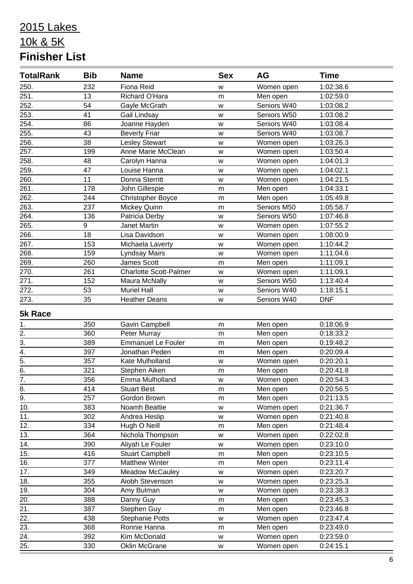| <b>TotalRank</b> | <b>Bib</b> | <b>Name</b>                   | <b>Sex</b> | <b>AG</b>   | <b>Time</b> |
|------------------|------------|-------------------------------|------------|-------------|-------------|
| 250.             | 232        | <b>Fiona Reid</b>             | W          | Women open  | 1:02:38.6   |
| 251.             | 13         | Richard O'Hara                | m          | Men open    | 1:02:59.0   |
| 252.             | 54         | Gayle McGrath                 | W          | Seniors W40 | 1:03:08.2   |
| 253.             | 41         | Gail Lindsay                  | W          | Seniors W50 | 1:03:08.2   |
| 254.             | 86         | Joanne Hayden                 | w          | Seniors W40 | 1:03:08.4   |
| 255.             | 43         | <b>Beverly Friar</b>          | w          | Seniors W40 | 1:03:08.7   |
| 256.             | 38         | <b>Lesley Stewart</b>         | W          | Women open  | 1:03:26.3   |
| 257.             | 199        | Anne Marie McClean            | W          | Women open  | 1:03:50.4   |
| 258.             | 48         | Carolyn Hanna                 | w          | Women open  | 1:04:01.3   |
| 259.             | 47         | Louise Hanna                  | W          | Women open  | 1:04:02.1   |
| 260.             | 11         | Donna Sterritt                | w          | Women open  | 1:04:21.5   |
| 261.             | 178        | John Gillespie                | m          | Men open    | 1:04:33.1   |
| 262.             | 244        | <b>Christopher Boyce</b>      | m          | Men open    | 1:05:49.8   |
| 263.             | 237        | Mickey Quinn                  | m          | Seniors M50 | 1:05:58.7   |
| 264.             | 136        | Patricia Derby                | W          | Seniors W50 | 1:07:46.8   |
| 265.             | 9          | Janet Martin                  | W          | Women open  | 1:07:55.2   |
| 266.             | 18         | Lisa Davidson                 | W          | Women open  | 1:08:00.9   |
| 267.             | 153        | Michaela Laverty              | W          | Women open  | 1:10:44.2   |
| 268.             | 159        | <b>Lyndsay Mairs</b>          | W          | Women open  | 1:11:04.6   |
| 269.             | 260        | <b>James Scott</b>            | m          | Men open    | 1:11:09.1   |
| 270.             | 261        | <b>Charlotte Scott-Palmer</b> | W          | Women open  | 1:11:09.1   |
| 271.             | 152        | Maura McNally                 | w          | Seniors W50 | 1:13:40.4   |
| 272.             | 53         | <b>Muriel Hall</b>            | W          | Seniors W40 | 1:18:15.1   |
| 273.             | 35         | <b>Heather Deans</b>          | w          | Seniors W40 | <b>DNF</b>  |
| <b>5k Race</b>   |            |                               |            |             |             |
| 1.               | 350        | Gavin Campbell                | m          | Men open    | 0:18:06.9   |
| $\overline{2}$ . | 360        | Peter Murray                  | m          | Men open    | 0:18:33.2   |
| $\overline{3}$ . | 389        | <b>Emmanuel Le Fouler</b>     | m          | Men open    | 0:19:48.2   |
| $\overline{4}$ . | 397        | Jonathan Peden                | m          | Men open    | 0:20:09.4   |
| $\overline{5}$ . | 357        | Kate Mulholland               | W          | Women open  | 0:20:20.1   |
| 6.               | 321        | Stephen Aiken                 | m          | Men open    | 0:20:41.8   |
| $\frac{7}{8}$ .  | 356        | Emma Mulholland               | W          | Women open  | 0:20:54.3   |
|                  | 414        | <b>Stuart Best</b>            | m          | Men open    | 0:20:56.5   |
| $\overline{9}$ . | 257        | Gordon Brown                  | m          | Men open    | 0:21:13.5   |
| 10.              | 383        | Noamh Beattie                 | W          | Women open  | 0:21:36.7   |
| 11.              | 302        | Andrea Heslip                 | W          | Women open  | 0:21:40.8   |
| 12.              | 334        | Hugh O Neill                  | m          | Men open    | 0:21:48.4   |
| 13.              | 364        | Nichola Thompson              | W          | Women open  | 0:22:02.8   |
| 14.              | 390        | Aliyah Le Fouler              | w          | Women open  | 0:23:10.0   |
| 15.              | 416        | Stuart Campbell               | m          | Men open    | 0:23:10.5   |
| 16.              | 377        | <b>Matthew Winter</b>         | m          | Men open    | 0:23:11.4   |
| 17.              | 349        | Meadow McCauley               | W          | Women open  | 0:23:20.7   |
| 18.              | 355        | Aiobh Stevenson               | W          | Women open  | 0:23:25.3   |
| 19.              | 304        | Amy Bulman                    | W          | Women open  | 0:23:38.3   |
| 20.              | 388        | Danny Guy                     | m          | Men open    | 0:23:45.3   |
| 21.              | 387        | Stephen Guy                   | m          | Men open    | 0:23:46.8   |
| 22.              | 438        | <b>Stephanie Potts</b>        | W          | Women open  | 0:23:47.4   |
| 23.              | 368        | Ronnie Hanna                  | m          | Men open    | 0:23:49.0   |
| 24.              | 392        | Kim McDonald                  | w          | Women open  | 0:23:59.0   |
| 25.              | 330        | Oklin McGrane                 | W          | Women open  | 0:24:15.1   |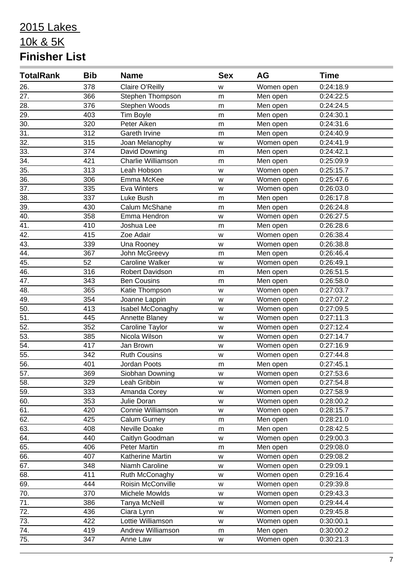| <b>TotalRank</b>  | <b>Bib</b> | <b>Name</b>               | <b>Sex</b> | AG         | <b>Time</b>            |  |
|-------------------|------------|---------------------------|------------|------------|------------------------|--|
| 26.               | 378        | Claire O'Reilly           | W          | Women open | 0:24:18.9              |  |
| 27.               | 366        | Stephen Thompson          | m          | Men open   | 0:24:22.5              |  |
| 28.               | 376        | Stephen Woods             | m          | Men open   | 0:24:24.5              |  |
| 29.               | 403        | Tim Boyle                 | m          | Men open   | 0:24:30.1              |  |
| $\overline{30.}$  | 320        | Peter Aiken               | m          | Men open   | 0:24:31.6              |  |
| 31.               | 312        | Gareth Irvine             | m          | Men open   | 0:24:40.9              |  |
| 32.               | 315        | Joan Melanophy            | W          | Women open | 0:24:41.9              |  |
| 33.               | 374        | David Downing             | m          | Men open   | 0:24:42.1              |  |
| $\overline{34}$ . | 421        | <b>Charlie Williamson</b> | m          | Men open   | 0:25:09.9              |  |
| $\overline{35}$ . | 313        | Leah Hobson               | W          | Women open | 0:25:15.7              |  |
| 36.               | 306        | Emma McKee                | W          | Women open | 0:25:47.6              |  |
| 37.               | 335        | Eva Winters               | W          | Women open | 0:26:03.0              |  |
| 38.               | 337        | Luke Bush                 | m          | Men open   | 0:26:17.8              |  |
| 39.               | 430        | Calum McShane             | m          | Men open   | 0:26:24.8              |  |
| 40.               | 358        | Emma Hendron              | W          | Women open | 0:26:27.5              |  |
| 41.               | 410        | Joshua Lee                | m          | Men open   | 0:26:28.6              |  |
| 42.               | 415        | Zoe Adair                 | W          | Women open | 0:26:38.4              |  |
| 43.               | 339        | Una Rooney                | W          | Women open | 0:26:38.8              |  |
| 44.               | 367        | John McGreevy             | m          | Men open   | 0:26:46.4              |  |
| 45.               | 52         | Caroline Walker           | W          | Women open | 0:26:49.1              |  |
| 46.               | 316        | Robert Davidson           | m          | Men open   | 0:26:51.5              |  |
| 47.               | 343        | <b>Ben Cousins</b>        | m          | Men open   | 0:26:58.0              |  |
| 48.               | 365        | Katie Thompson            | w          | Women open | 0:27:03.7              |  |
| 49.               | 354        | Joanne Lappin             | W          | Women open | 0:27:07.2              |  |
| 50.               | 413        | Isabel McConaghy          | W          | Women open | 0:27:09.5              |  |
| $\overline{51}$ . | 445        | Annette Blaney            | W          | Women open | 0:27:11.3              |  |
| $\overline{52}$ . | 352        | Caroline Taylor           | W          | Women open | 0:27:12.4              |  |
| $\overline{53}$ . | 385        | Nicola Wilson             | W          | Women open | 0:27:14.7              |  |
| 54.               | 417        | Jan Brown                 | W          | Women open | 0:27:16.9              |  |
| 55.               | 342        | <b>Ruth Cousins</b>       | W          | Women open | 0:27:44.8              |  |
| 56.               | 401        | Jordan Poots              | m          | Men open   | 0:27:45.1              |  |
| $\overline{57}$ . | 369        | Siobhan Downing           | W          | Women open | 0:27:53.6              |  |
| 58.               | 329        | Leah Gribbin              | W          | Women open | 0:27:54.8              |  |
| 59.               | 333        | Amanda Corey              | W          | Women open | 0:27:58.9              |  |
| 60.               | 353        | Julie Doran               | W          | Women open | 0:28:00.2              |  |
| 61.               | 420        | Connie Williamson         | W          | Women open | 0:28:15.7              |  |
| 62.               | 425        | <b>Calum Gurney</b>       | m          | Men open   | 0:28:21.0              |  |
| 63.               | 408        | Neville Doake             | m          | Men open   | 0:28:42.5              |  |
| 64.               | 440        | Caitlyn Goodman           | w          | Women open | $0:29:00.\overline{3}$ |  |
| 65.               | 406        | Peter Martin              | m          | Men open   | 0:29:08.0              |  |
| 66.               | 407        | Katherine Martin          | W          | Women open | 0:29:08.2              |  |
| 67.               | 348        | Niamh Caroline            | W          | Women open | 0:29:09.1              |  |
| 68.               | 411        | Ruth McConaghy            | W          | Women open | 0:29:16.4              |  |
| 69.               | 444        | Roisin McConville         | w          | Women open | 0:29:39.8              |  |
| 70.               | 370        | Michele Mowlds            | W          | Women open | 0:29:43.3              |  |
| $\overline{71}$ . | 386        | Tanya McNeill             | W          | Women open | 0:29:44.4              |  |
| 72.               | 436        | Ciara Lynn                | W          | Women open | 0:29:45.8              |  |
| 73.               | 422        | Lottie Williamson         | w          | Women open | 0:30:00.1              |  |
| 74.               | 419        | Andrew Williamson         | m          | Men open   | 0:30:00.2              |  |
| $\overline{75.}$  | 347        | Anne Law                  | W          | Women open | 0:30:21.3              |  |
|                   |            |                           |            |            |                        |  |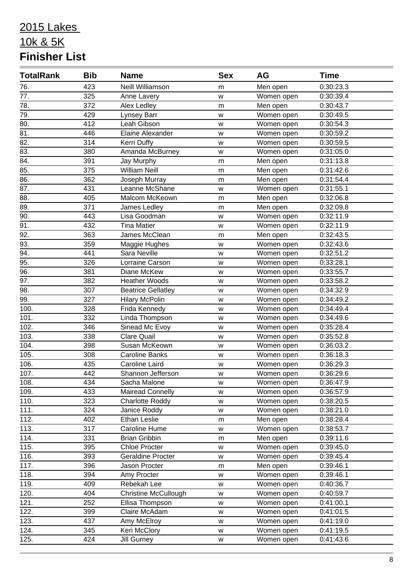| <b>TotalRank</b>  | <b>Bib</b> | <b>Name</b>                 | <b>Sex</b> | AG         | <b>Time</b> |
|-------------------|------------|-----------------------------|------------|------------|-------------|
| 76.               | 423        | Neill Williamson            | m          | Men open   | 0:30:23.3   |
| 77.               | 325        | Anne Lavery                 | W          | Women open | 0:30:39.4   |
| 78.               | 372        | Alex Ledley                 | m          | Men open   | 0:30:43.7   |
| $\overline{79.}$  | 429        | Lynsey Barr                 | W          | Women open | 0:30:49.5   |
| 80.               | 412        | Leah Gibson                 | W          | Women open | 0:30:54.3   |
| 81.               | 446        | Elaine Alexander            | W          | Women open | 0:30:59.2   |
| $\overline{82}$ . | 314        | Kerri Duffy                 | w          | Women open | 0:30:59.5   |
| 83.               | 380        | Amanda McBurney             | W          | Women open | 0:31:05.0   |
| $\overline{84}$ . | 391        | Jay Murphy                  | m          | Men open   | 0:31:13.8   |
| 85.               | 375        | <b>William Neill</b>        | m          | Men open   | 0:31:42.6   |
| 86.               | 362        | Joseph Murray               | m          | Men open   | 0:31:54.4   |
| 87.               | 431        | Leanne McShane              | W          | Women open | 0:31:55.1   |
| 88.               | 405        | Malcom McKeown              | m          | Men open   | 0:32:06.8   |
| 89.               | 371        | James Ledley                | m          | Men open   | 0:32:09.8   |
| 90.               | 443        | Lisa Goodman                | W          | Women open | 0:32:11.9   |
| 91.               | 432        | <b>Tina Matier</b>          | w          | Women open | 0:32:11.9   |
| 92.               | 363        | James McClean               | m          | Men open   | 0:32:43.5   |
| 93.               | 359        | Maggie Hughes               | W          | Women open | 0:32:43.6   |
| $\overline{94}$ . | 441        | Sara Neville                | W          | Women open | 0:32:51.2   |
| 95.               | 326        | Lorraine Carson             | W          | Women open | 0:33:28.1   |
| 96.               | 381        | Diane McKew                 | W          | Women open | 0:33:55.7   |
| 97.               | 382        | <b>Heather Woods</b>        | W          | Women open | 0:33:58.2   |
| 98.               | 307        | <b>Beatrice Gellatley</b>   | W          | Women open | 0:34:32.9   |
| 99.               | 327        | <b>Hilary McPolin</b>       | W          | Women open | 0:34:49.2   |
| 100.              | 328        | Frida Kennedy               | W          | Women open | 0:34:49.4   |
| 101.              | 332        | Linda Thompson              | W          | Women open | 0:34:49.6   |
| 102.              | 346        | Sinead Mc Evoy              | W          | Women open | 0:35:28.4   |
| 103.              | 338        | Clare Quail                 | W          | Women open | 0:35:52.8   |
| 104.              | 398        | Susan McKeown               | W          | Women open | 0:36:03.2   |
| 105.              | 308        | <b>Caroline Banks</b>       | W          | Women open | 0:36:18.3   |
| 106.              | 435        | Caroline Laird              | W          | Women open | 0:36:29.3   |
| 107.              | 442        | Shannon Jefferson           | w          | Women open | 0:36:29.6   |
| 108.              | 434        | Sacha Malone                | W          | Women open | 0:36:47.9   |
| 109.              | 433        | Mairead Connelly            | W          | Women open | 0:36:57.9   |
| 110.              | 323        | Charlotte Roddy             | W          | Women open | 0:38:20.5   |
| 111.              | 324        | Janice Roddy                | W          | Women open | 0:38:21.0   |
| 112.              | 402        | <b>Ethan Leslie</b>         | m          | Men open   | 0:38:28.4   |
| 113.              | 317        | Caroline Hume               | W          | Women open | 0:38:53.7   |
| 114.              | 331        | <b>Brian Gribbin</b>        | m          | Men open   | 0:39:11.6   |
| 115.              | 395        | <b>Chloe Procter</b>        | W          | Women open | 0:39:45.0   |
| 116.              | 393        | <b>Geraldine Procter</b>    | w          | Women open | 0:39:45.4   |
| 117.              | 396        | Jason Procter               | m          | Men open   | 0:39:46.1   |
| 118.              | 394        | Amy Procter                 | W          | Women open | 0:39:46.1   |
| 119.              | 409        | Rebekah Lee                 | W          | Women open | 0:40:36.7   |
| 120.              | 404        | <b>Christine McCullough</b> | w          | Women open | 0:40:59.7   |
| 121.              | 252        | Ellisa Thompson             | w          | Women open | 0:41:00.1   |
| 122.              | 399        | Claire McAdam               | W          | Women open | 0:41:01.5   |
| 123.              | 437        | Amy McElroy                 | w          | Women open | 0:41:19.0   |
| 124.              | 345        | Keri McClory                | W          | Women open | 0:41:19.5   |
| 125.              | 424        | <b>Jill Gurney</b>          | W          | Women open | 0:41:43.6   |
|                   |            |                             |            |            |             |